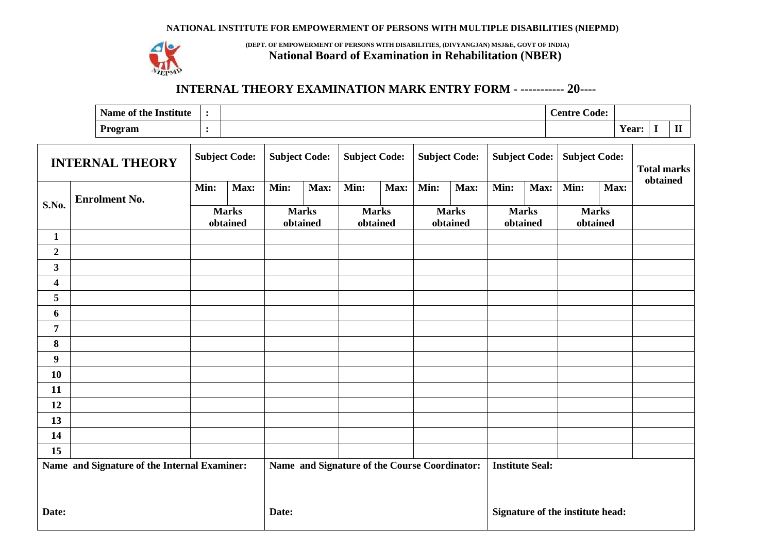#### **NATIONAL INSTITUTE FOR EMPOWERMENT OF PERSONS WITH MULTIPLE DISABILITIES (NIEPMD)**



**(DEPT. OF EMPOWERMENT OF PERSONS WITH DISABILITIES, (DIVYANGJAN) MSJ&E, GOVT OF INDIA) National Board of Examination in Rehabilitation (NBER)**

### **INTERNAL THEORY EXAMINATION MARK ENTRY FORM - ----------- 20----**

| Name of the<br>$\cdot$ .<br>: Institute |  | $\sim$<br>Code:<br>Centre |                          |   |  |
|-----------------------------------------|--|---------------------------|--------------------------|---|--|
| Program                                 |  |                           | $\cdot$ $\cdot$<br>rear: | - |  |

| <b>INTERNAL THEORY</b>                       |                      | <b>Subject Code:</b> |                                               | <b>Subject Code:</b> |                          | <b>Subject Code:</b> |                          | <b>Subject Code:</b>   |                                  | <b>Subject Code:</b> |                          | <b>Subject Code:</b>     |          | <b>Total marks</b> |  |
|----------------------------------------------|----------------------|----------------------|-----------------------------------------------|----------------------|--------------------------|----------------------|--------------------------|------------------------|----------------------------------|----------------------|--------------------------|--------------------------|----------|--------------------|--|
|                                              | Min:                 | Max:                 | Min:                                          | Max:                 | Min:                     | Max:                 | Min:                     | Max:                   | Min:                             | Max:                 | Min:                     | Max:                     | obtained |                    |  |
| S.No.                                        | <b>Enrolment No.</b> |                      | <b>Marks</b><br>obtained                      |                      | <b>Marks</b><br>obtained |                      | <b>Marks</b><br>obtained |                        | <b>Marks</b><br>obtained         |                      | <b>Marks</b><br>obtained | <b>Marks</b><br>obtained |          |                    |  |
| $\mathbf{1}$                                 |                      |                      |                                               |                      |                          |                      |                          |                        |                                  |                      |                          |                          |          |                    |  |
| $\boldsymbol{2}$                             |                      |                      |                                               |                      |                          |                      |                          |                        |                                  |                      |                          |                          |          |                    |  |
| $\mathbf{3}$                                 |                      |                      |                                               |                      |                          |                      |                          |                        |                                  |                      |                          |                          |          |                    |  |
| 4                                            |                      |                      |                                               |                      |                          |                      |                          |                        |                                  |                      |                          |                          |          |                    |  |
| 5                                            |                      |                      |                                               |                      |                          |                      |                          |                        |                                  |                      |                          |                          |          |                    |  |
| 6                                            |                      |                      |                                               |                      |                          |                      |                          |                        |                                  |                      |                          |                          |          |                    |  |
| 7                                            |                      |                      |                                               |                      |                          |                      |                          |                        |                                  |                      |                          |                          |          |                    |  |
| $\bf{8}$                                     |                      |                      |                                               |                      |                          |                      |                          |                        |                                  |                      |                          |                          |          |                    |  |
| $\boldsymbol{9}$                             |                      |                      |                                               |                      |                          |                      |                          |                        |                                  |                      |                          |                          |          |                    |  |
| 10                                           |                      |                      |                                               |                      |                          |                      |                          |                        |                                  |                      |                          |                          |          |                    |  |
| 11                                           |                      |                      |                                               |                      |                          |                      |                          |                        |                                  |                      |                          |                          |          |                    |  |
| 12                                           |                      |                      |                                               |                      |                          |                      |                          |                        |                                  |                      |                          |                          |          |                    |  |
| 13                                           |                      |                      |                                               |                      |                          |                      |                          |                        |                                  |                      |                          |                          |          |                    |  |
| 14                                           |                      |                      |                                               |                      |                          |                      |                          |                        |                                  |                      |                          |                          |          |                    |  |
| 15                                           |                      |                      |                                               |                      |                          |                      |                          |                        |                                  |                      |                          |                          |          |                    |  |
| Name and Signature of the Internal Examiner: |                      |                      | Name and Signature of the Course Coordinator: |                      |                          |                      |                          | <b>Institute Seal:</b> |                                  |                      |                          |                          |          |                    |  |
| Date:                                        |                      |                      | Date:                                         |                      |                          |                      |                          |                        | Signature of the institute head: |                      |                          |                          |          |                    |  |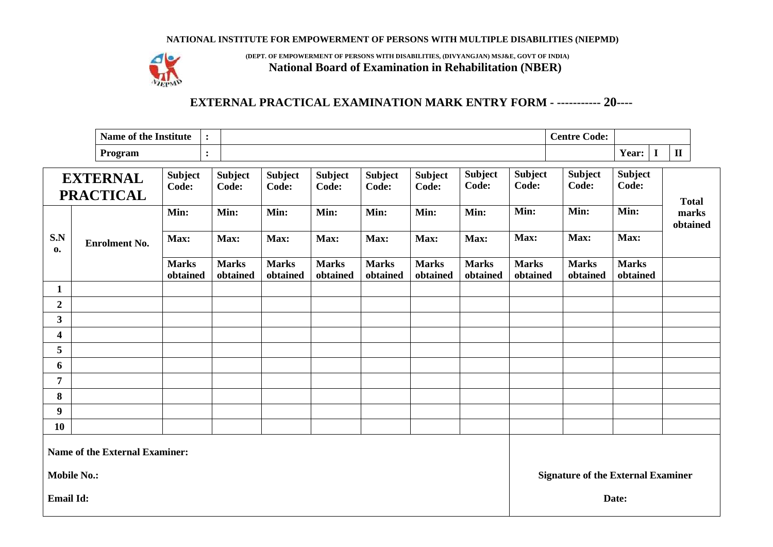#### **NATIONAL INSTITUTE FOR EMPOWERMENT OF PERSONS WITH MULTIPLE DISABILITIES (NIEPMD)**



**(DEPT. OF EMPOWERMENT OF PERSONS WITH DISABILITIES, (DIVYANGJAN) MSJ&E, GOVT OF INDIA) National Board of Examination in Rehabilitation (NBER)**

# **EXTERNAL PRACTICAL EXAMINATION MARK ENTRY FORM - ----------- 20----**

| $\rightarrow$<br>Name of the<br>$\cdot$ .<br>: Institute |  | $\sim$<br>$\sim$<br>Code:<br>Centre |                       |              |
|----------------------------------------------------------|--|-------------------------------------|-----------------------|--------------|
| Program                                                  |  |                                     | $\mathbf{r}$<br>Year: | $\mathbf{I}$ |

| <b>EXTERNAL</b><br><b>PRACTICAL</b> |                                       | <b>Subject</b><br>Code:  | <b>Subject</b><br>Code:  | <b>Subject</b><br>Code:  | <b>Subject</b><br>Code:  | <b>Subject</b><br>Code:  | <b>Subject</b><br>Code:  | <b>Subject</b><br>Code:                   | <b>Subject</b><br>Code:  | <b>Subject</b><br>Code:  | <b>Subject</b><br>Code:  | <b>Total</b>      |
|-------------------------------------|---------------------------------------|--------------------------|--------------------------|--------------------------|--------------------------|--------------------------|--------------------------|-------------------------------------------|--------------------------|--------------------------|--------------------------|-------------------|
|                                     |                                       | Min:                     | Min:                     | Min:                     | Min:                     | Min:                     | Min:                     | Min:                                      | Min:                     | Min:                     | Min:                     | marks<br>obtained |
| S.N<br>0.                           | <b>Enrolment No.</b>                  | Max:                     | Max:                     | Max:                     | Max:                     | Max:                     | Max:                     | Max:                                      | Max:                     | Max:                     | Max:                     |                   |
|                                     |                                       | <b>Marks</b><br>obtained | <b>Marks</b><br>obtained | <b>Marks</b><br>obtained | <b>Marks</b><br>obtained | <b>Marks</b><br>obtained | <b>Marks</b><br>obtained | <b>Marks</b><br>obtained                  | <b>Marks</b><br>obtained | <b>Marks</b><br>obtained | <b>Marks</b><br>obtained |                   |
| $\mathbf{1}$                        |                                       |                          |                          |                          |                          |                          |                          |                                           |                          |                          |                          |                   |
| $\boldsymbol{2}$                    |                                       |                          |                          |                          |                          |                          |                          |                                           |                          |                          |                          |                   |
| $\mathbf{3}$                        |                                       |                          |                          |                          |                          |                          |                          |                                           |                          |                          |                          |                   |
| $\overline{\mathbf{4}}$             |                                       |                          |                          |                          |                          |                          |                          |                                           |                          |                          |                          |                   |
| 5                                   |                                       |                          |                          |                          |                          |                          |                          |                                           |                          |                          |                          |                   |
| 6                                   |                                       |                          |                          |                          |                          |                          |                          |                                           |                          |                          |                          |                   |
| $\overline{7}$                      |                                       |                          |                          |                          |                          |                          |                          |                                           |                          |                          |                          |                   |
| 8                                   |                                       |                          |                          |                          |                          |                          |                          |                                           |                          |                          |                          |                   |
| 9                                   |                                       |                          |                          |                          |                          |                          |                          |                                           |                          |                          |                          |                   |
| <b>10</b>                           |                                       |                          |                          |                          |                          |                          |                          |                                           |                          |                          |                          |                   |
|                                     | <b>Name of the External Examiner:</b> |                          |                          |                          |                          |                          |                          |                                           |                          |                          |                          |                   |
| <b>Mobile No.:</b>                  |                                       |                          |                          |                          |                          |                          |                          | <b>Signature of the External Examiner</b> |                          |                          |                          |                   |
| <b>Email Id:</b>                    |                                       |                          |                          |                          |                          |                          |                          | Date:                                     |                          |                          |                          |                   |